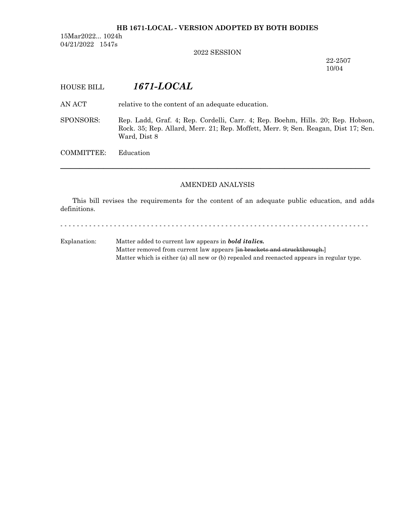### **HB 1671-LOCAL - VERSION ADOPTED BY BOTH BODIES**

15Mar2022... 1024h 04/21/2022 1547s

2022 SESSION

22-2507 10/04

# HOUSE BILL *1671-LOCAL*

AN ACT relative to the content of an adequate education.

SPONSORS: Rep. Ladd, Graf. 4; Rep. Cordelli, Carr. 4; Rep. Boehm, Hills. 20; Rep. Hobson, Rock. 35; Rep. Allard, Merr. 21; Rep. Moffett, Merr. 9; Sen. Reagan, Dist 17; Sen. Ward, Dist 8

COMMITTEE: Education

### AMENDED ANALYSIS

─────────────────────────────────────────────────────────────────

This bill revises the requirements for the content of an adequate public education, and adds definitions.

- - - - - - - - - - - - - - - - - - - - - - - - - - - - - - - - - - - - - - - - - - - - - - - - - - - - - - - - - - - - - - - - - - - - - - - - - - -

Explanation: Matter added to current law appears in *bold italics.* Matter removed from current law appears [in brackets and struckthrough.] Matter which is either (a) all new or (b) repealed and reenacted appears in regular type.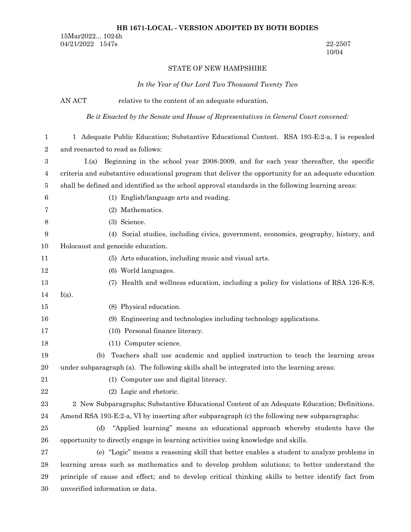### **HB 1671-LOCAL - VERSION ADOPTED BY BOTH BODIES**

15Mar2022... 1024h 04/21/2022 1547s 22-2507

# 10/04

### STATE OF NEW HAMPSHIRE

## *In the Year of Our Lord Two Thousand Twenty Two*

|                  | AN ACT<br>relative to the content of an adequate education.                                         |  |
|------------------|-----------------------------------------------------------------------------------------------------|--|
|                  | Be it Enacted by the Senate and House of Representatives in General Court convened:                 |  |
| 1                | 1 Adequate Public Education; Substantive Educational Content. RSA 193-E:2-a, I is repealed          |  |
| $\boldsymbol{2}$ | and reenacted to read as follows:                                                                   |  |
| 3                | I.(a) Beginning in the school year 2008-2009, and for each year thereafter, the specific            |  |
| 4                | criteria and substantive educational program that deliver the opportunity for an adequate education |  |
| 5                | shall be defined and identified as the school approval standards in the following learning areas:   |  |
| 6                | (1) English/language arts and reading.                                                              |  |
| 7                | (2) Mathematics.                                                                                    |  |
| 8                | (3) Science.                                                                                        |  |
| 9                | Social studies, including civics, government, economics, geography, history, and<br>(4)             |  |
| 10               | Holocaust and genocide education.                                                                   |  |
| 11               | (5) Arts education, including music and visual arts.                                                |  |
| 12               | (6) World languages.                                                                                |  |
| 13               | Health and wellness education, including a policy for violations of RSA 126-K:8,<br>(7)             |  |
| 14               | $I(a)$ .                                                                                            |  |
| 15               | (8) Physical education.                                                                             |  |
| 16               | (9) Engineering and technologies including technology applications.                                 |  |
| 17               | (10) Personal finance literacy.                                                                     |  |
| 18               | (11) Computer science.                                                                              |  |
| 19               | Teachers shall use academic and applied instruction to teach the learning areas<br>(b)              |  |
| 20               | under subparagraph (a). The following skills shall be integrated into the learning areas:           |  |
| 21               | (1) Computer use and digital literacy.                                                              |  |
| 22               | (2) Logic and rhetoric.                                                                             |  |
| 23               | 2 New Subparagraphs; Substantive Educational Content of an Adequate Education; Definitions.         |  |
| 24               | Amend RSA 193-E:2-a, VI by inserting after subparagraph (c) the following new subparagraphs:        |  |
| 25               | "Applied learning" means an educational approach whereby students have the<br>(d)                   |  |
| 26               | opportunity to directly engage in learning activities using knowledge and skills.                   |  |
| 27               | (e) "Logic" means a reasoning skill that better enables a student to analyze problems in            |  |
| 28               | learning areas such as mathematics and to develop problem solutions; to better understand the       |  |
| 29               | principle of cause and effect; and to develop critical thinking skills to better identify fact from |  |
| 30               | unverified information or data.                                                                     |  |